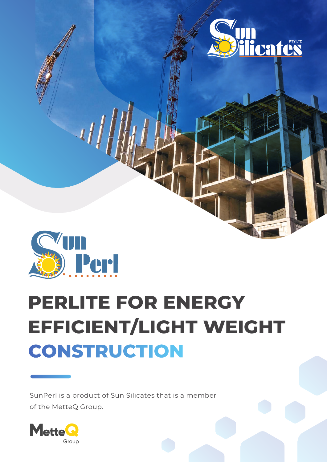



# **PERLITE FOR ENERGY EFFICIENT/LIGHT WEIGHT CONSTRUCTION**

SunPerl is a product of Sun Silicates that is a member of the MetteQ Group.

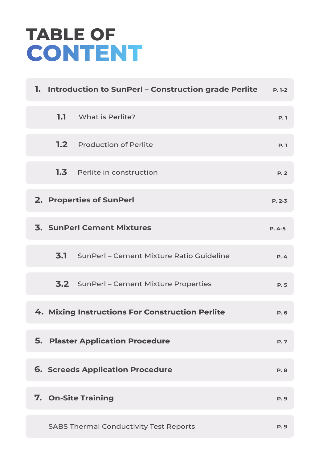# **TABLE OF**

| 1. Introduction to SunPerl – Construction grade Perlite | $P. 1-2$   |
|---------------------------------------------------------|------------|
| <b>1.1</b> What is Perlite?                             | <b>P.1</b> |
| <b>1.2</b> Production of Perlite                        | P.1        |
| <b>1.3</b> Perlite in construction                      | P.2        |
| 2. Properties of SunPerl                                | $P. 2-3$   |
| <b>3. SunPerl Cement Mixtures</b>                       | $P. 4 - 5$ |
| <b>3.1</b> SunPerl – Cement Mixture Ratio Guideline     | P.4        |
| <b>3.2</b> SunPerl – Cement Mixture Properties          | <b>P.5</b> |
| 4. Mixing Instructions For Construction Perlite         | P. 6       |
| <b>5. Plaster Application Procedure</b>                 | P.7        |
| <b>6. Screeds Application Procedure</b>                 | <b>P.8</b> |
| 7. On-Site Training                                     | <b>P.9</b> |
| <b>SABS Thermal Conductivity Test Reports</b>           | <b>P.9</b> |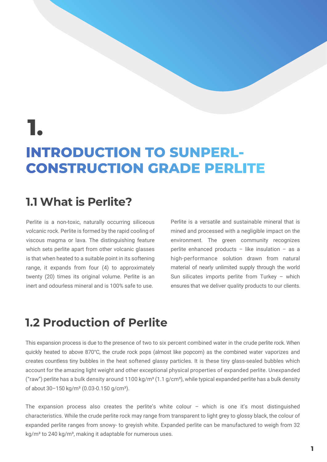## **1.**

### **INTRODUCTION TO SUNPERL-CONSTRUCTION GRADE PERLITE**

#### **1.1 What is Perlite?**

Perlite is a non-toxic, naturally occurring siliceous volcanic rock. Perlite is formed by the rapid cooling of viscous magma or lava. The distinguishing feature which sets perlite apart from other volcanic glasses is that when heated to a suitable point in its softening range, it expands from four (4) to approximately twenty (20) times its original volume. Perlite is an inert and odourless mineral and is 100% safe to use.

Perlite is a versatile and sustainable mineral that is mined and processed with a negligible impact on the environment. The green community recognizes perlite enhanced products  $-$  like insulation  $-$  as a high-performance solution drawn from natural material of nearly unlimited supply through the world Sun silicates imports perlite from Turkey – which ensures that we deliver quality products to our clients.

#### **1.2 Production of Perlite**

This expansion process is due to the presence of two to six percent combined water in the crude perlite rock. When quickly heated to above 870°C, the crude rock pops (almost like popcorn) as the combined water vaporizes and creates countless tiny bubbles in the heat softened glassy particles. It is these tiny glass-sealed bubbles which account for the amazing light weight and other exceptional physical properties of expanded perlite. Unexpanded ("raw") perlite has a bulk density around 1100 kg/m<sup>3</sup> (1.1 g/cm<sup>3</sup>), while typical expanded perlite has a bulk density of about  $30-150$  kg/m<sup>3</sup> (0.03-0.150 g/cm<sup>3</sup>).

The expansion process also creates the perlite's white colour – which is one it's most distinguished characteristics. While the crude perlite rock may range from transparent to light grey to glossy black, the colour of expanded perlite ranges from snowy- to greyish white. Expanded perlite can be manufactured to weigh from 32 kg/m<sup>3</sup> to 240 kg/m<sup>3</sup>, making it adaptable for numerous uses.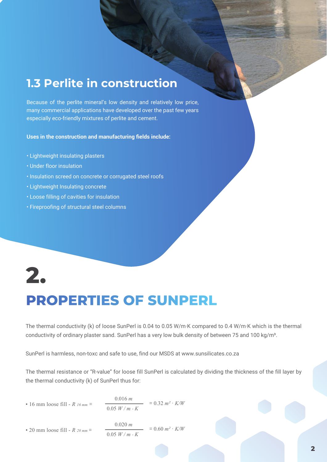#### **1.3 Perlite in construction**

Because of the perlite mineral's low density and relatively low price, many commercial applications have developed over the past few years especially eco-friendly mixtures of perlite and cement.

**Uses in the construction and manufacturing fields include:**

- Lightweight insulating plasters
- Under floor insulation
- Insulation screed on concrete or corrugated steel roofs
- Lightweight Insulating concrete
- Loose filling of cavities for insulation
- Fireproofing of structural steel columns

### **2.**

### **PROPERTIES OF SUNPERL**

The thermal conductivity (k) of loose SunPerl is 0.04 to 0.05 W/m·K compared to 0.4 W/m·K which is the thermal conductivity of ordinary plaster sand. SunPerl has a very low bulk density of between 75 and 100 kg/m<sup>3</sup>.

SunPerl is harmless, non-toxc and safe to use, find our MSDS at www.sunsilicates.co.za

The thermal resistance or "R-value" for loose fill SunPerl is calculated by dividing the thickness of the fill layer by the thermal conductivity (k) of SunPerl thus for:

• 16 mm loose fill - *R* 16 mm = 
$$
\frac{0.016 \text{ m}}{0.05 \text{ W/m} \cdot \text{K}} = 0.32 \text{ m}^2 \cdot \text{K/W}
$$

• 20 mm loose fill - 
$$
R
$$
 20 mm = 
$$
\frac{0.020 \ m}{0.05 \ W/m \cdot K} = 0.60 \ m^2 \cdot K/W
$$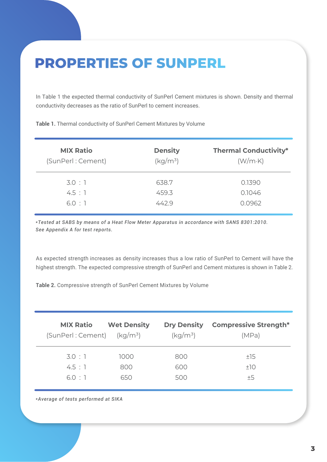### **PROPERTIES OF SUNPERL**

In Table 1 the expected thermal conductivity of SunPerl Cement mixtures is shown. Density and thermal conductivity decreases as the ratio of SunPerl to cement increases.

**Table 1.** Thermal conductivity of SunPerl Cement Mixtures by Volume

| <b>MIX Ratio</b>  | <b>Density</b> | <b>Thermal Conductivity*</b> |
|-------------------|----------------|------------------------------|
| (SunPerl: Cement) | $(kg/m^3)$     | (W/mK)                       |
| 3.0:1             | 638.7          | 0.1390                       |
| 4.5:1             | 459.3          | 0.1046                       |
| 6.0:1             | 442.9          | 0.0962                       |

*\*Tested at SABS by means of a Heat Flow Meter Apparatus in accordance with SANS 8301:2010. See Appendix A for test reports.*

As expected strength increases as density increases thus a low ratio of SunPerl to Cement will have the highest strength. The expected compressive strength of SunPerl and Cement mixtures is shown in Table 2.

**Table 2.** Compressive strength of SunPerl Cement Mixtures by Volume

| <b>MIX Ratio</b>             | <b>Wet Density</b> | <b>Dry Density</b> | <b>Compressive Strength*</b> |
|------------------------------|--------------------|--------------------|------------------------------|
| $(SunPerl:Cement)$ $(kg/m3)$ |                    | $(kq/m^3)$         | (MPa)                        |
| 3.0:1                        | 1000               | 800                | ±15                          |
| 4.5 : 1                      | 800                | 600                | ±10                          |
| 6.0:1                        | 650                | 500                | ±5                           |

*\*Average of tests performed at SIKA*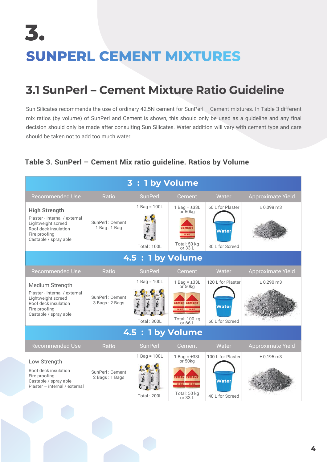# **3. SUNPERL CEMENT MIXTURES**

### **3.1 SunPerl – Cement Mixture Ratio Guideline**

Sun Silicates recommends the use of ordinary 42,5N cement for SunPerl – Cement mixtures. In Table 3 different mix ratios (by volume) of SunPerl and Cement is shown, this should only be used as a guideline and any final decision should only be made after consulting Sun Silicates. Water addition will vary with cement type and care should be taken not to add too much water.

#### **Table 3. SunPerl – Cement Mix ratio guideline. Ratios by Volume**

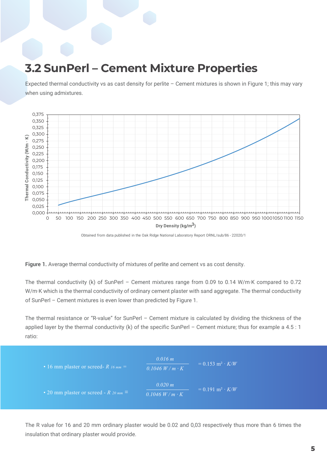#### **3.2 SunPerl – Cement Mixture Properties**

Expected thermal conductivity vs as cast density for perlite – Cement mixtures is shown in Figure 1; this may vary when using admixtures.



Obtained from data published in the Oak Ridge National Laboratory Report ORNL/sub/86 - 22020/1

**Figure 1.** Average thermal conductivity of mixtures of perlite and cement vs as cost density.

The thermal conductivity (k) of SunPerl - Cement mixtures range from 0.09 to 0.14 W/m·K compared to 0.72 W/m·K which is the thermal conductivity of ordinary cement plaster with sand aggregate. The thermal conductivity of SunPerl – Cement mixtures is even lower than predicted by Figure 1.

The thermal resistance or "R-value" for SunPerl – Cement mixture is calculated by dividing the thickness of the applied layer by the thermal conductivity (k) of the specific SunPerl - Cement mixture; thus for example a 4.5 : 1 ratio:



The R value for 16 and 20 mm ordinary plaster would be 0.02 and 0,03 respectively thus more than 6 times the insulation that ordinary plaster would provide.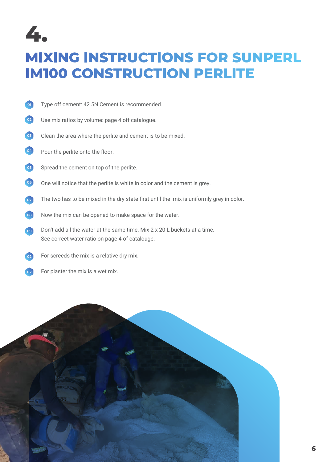

### **MIXING INSTRUCTIONS FOR SUNPERL IM100 CONSTRUCTION PERLITE**

- Type off cement: 42.5N Cement is recommended. **01**
- Use mix ratios by volume: page 4 off catalogue. **02**
- Clean the area where the perlite and cement is to be mixed. **03**
- Pour the perlite onto the floor. **04**
- Spread the cement on top of the perlite. **05**
- One will notice that the perlite is white in color and the cement is grey. **06**
- The two has to be mixed in the dry state first until the mix is uniformly grey in color. **07**
- Now the mix can be opened to make space for the water. **08**
- Don't add all the water at the same time. Mix 2 x 20 L buckets at a time. See correct water ratio on page 4 of catalouge. **09**
- For screeds the mix is a relative dry mix. **02**
- For plaster the mix is a wet mix. **022**

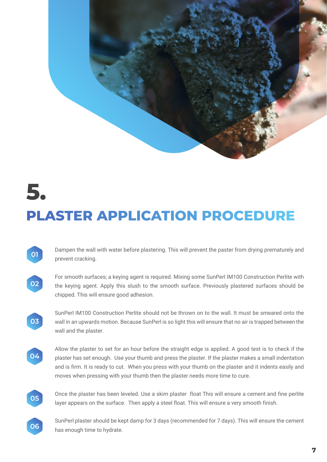

Dampen the wall with water before plastering. This will prevent the paster from drying prematurely and prevent cracking. **01**



For smooth surfaces; a keying agent is required. Mixing some SunPerl IM100 Construction Perlite with the keying agent. Apply this slush to the smooth surface. Previously plastered surfaces should be chipped. This will ensure good adhesion.

SunPerl IM100 Construction Perlite should not be thrown on to the wall. It must be smeared onto the wall in an upwards motion. Because SunPerl is so light this will ensure that no air is trapped between the wall and the plaster.



**03**

Allow the plaster to set for an hour before the straight edge is applied. A good test is to check if the plaster has set enough. Use your thumb and press the plaster. If the plaster makes a small indentation and is firm. It is ready to cut. When you press with your thumb on the plaster and it indents easily and moves when pressing with your thumb then the plaster needs more time to cure.



Once the plaster has been leveled. Use a skim plaster float This will ensure a cement and fine perlite layer appears on the surface. Then apply a steel float. This will ensure a very smooth finish.



SunPerl plaster should be kept damp for 3 days (recommended for 7 days). This will ensure the cement has enough time to hydrate.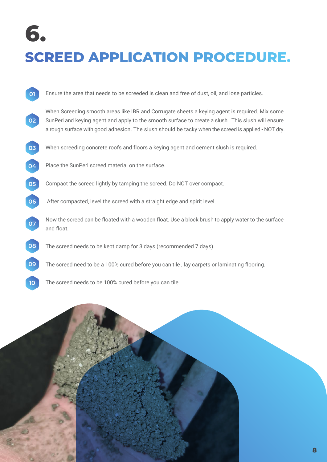## **6. SCREED APPLICATION PROCEDURE.**

| 01 | Ensure the area that needs to be screeded is clean and free of dust, oil, and lose particles.                                                                                                                                                                                                               |
|----|-------------------------------------------------------------------------------------------------------------------------------------------------------------------------------------------------------------------------------------------------------------------------------------------------------------|
| 02 | When Screeding smooth areas like IBR and Corrugate sheets a keying agent is required. Mix some<br>SunPerl and keying agent and apply to the smooth surface to create a slush. This slush will ensure<br>a rough surface with good adhesion. The slush should be tacky when the screed is applied - NOT dry. |
| 03 | When screeding concrete roofs and floors a keying agent and cement slush is required.                                                                                                                                                                                                                       |
| 04 | Place the SunPerl screed material on the surface.                                                                                                                                                                                                                                                           |
| 05 | Compact the screed lightly by tamping the screed. Do NOT over compact.                                                                                                                                                                                                                                      |
| 06 | After compacted, level the screed with a straight edge and spirit level.                                                                                                                                                                                                                                    |
| 07 | Now the screed can be floated with a wooden float. Use a block brush to apply water to the surface<br>and float.                                                                                                                                                                                            |
| 08 | The screed needs to be kept damp for 3 days (recommended 7 days).                                                                                                                                                                                                                                           |
| 09 | The screed need to be a 100% cured before you can tile, lay carpets or laminating flooring.                                                                                                                                                                                                                 |
| 10 | The screed needs to be 100% cured before you can tile                                                                                                                                                                                                                                                       |